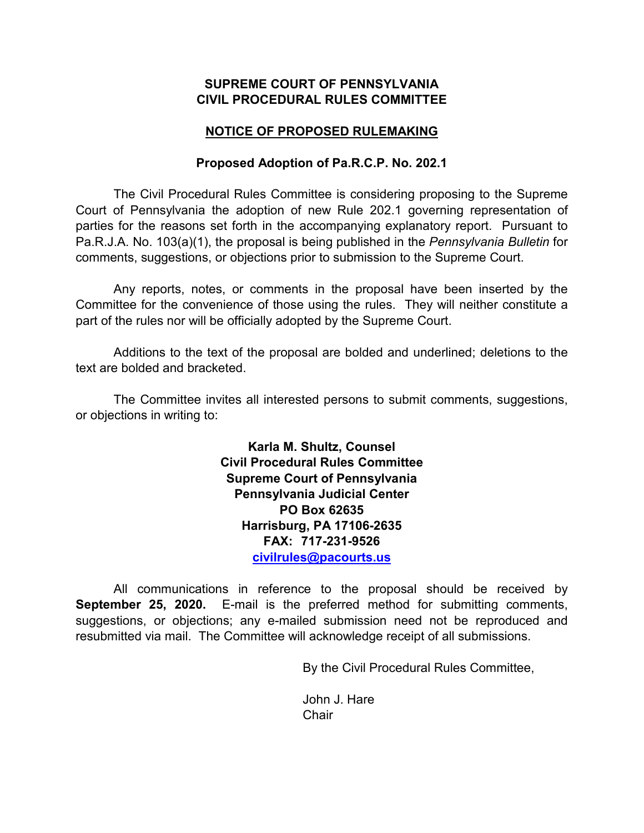## **SUPREME COURT OF PENNSYLVANIA CIVIL PROCEDURAL RULES COMMITTEE**

# **NOTICE OF PROPOSED RULEMAKING**

## **Proposed Adoption of Pa.R.C.P. No. 202.1**

The Civil Procedural Rules Committee is considering proposing to the Supreme Court of Pennsylvania the adoption of new Rule 202.1 governing representation of parties for the reasons set forth in the accompanying explanatory report. Pursuant to Pa.R.J.A. No. 103(a)(1), the proposal is being published in the *Pennsylvania Bulletin* for comments, suggestions, or objections prior to submission to the Supreme Court.

Any reports, notes, or comments in the proposal have been inserted by the Committee for the convenience of those using the rules. They will neither constitute a part of the rules nor will be officially adopted by the Supreme Court.

Additions to the text of the proposal are bolded and underlined; deletions to the text are bolded and bracketed.

The Committee invites all interested persons to submit comments, suggestions, or objections in writing to:

> **Karla M. Shultz, Counsel Civil Procedural Rules Committee Supreme Court of Pennsylvania Pennsylvania Judicial Center PO Box 62635 Harrisburg, PA 17106-2635 FAX: 717-231-9526 [civilrules@pacourts.us](mailto:civilrules@pacourts.us)**

All communications in reference to the proposal should be received by **September 25, 2020.** E-mail is the preferred method for submitting comments, suggestions, or objections; any e-mailed submission need not be reproduced and resubmitted via mail. The Committee will acknowledge receipt of all submissions.

By the Civil Procedural Rules Committee,

John J. Hare **Chair**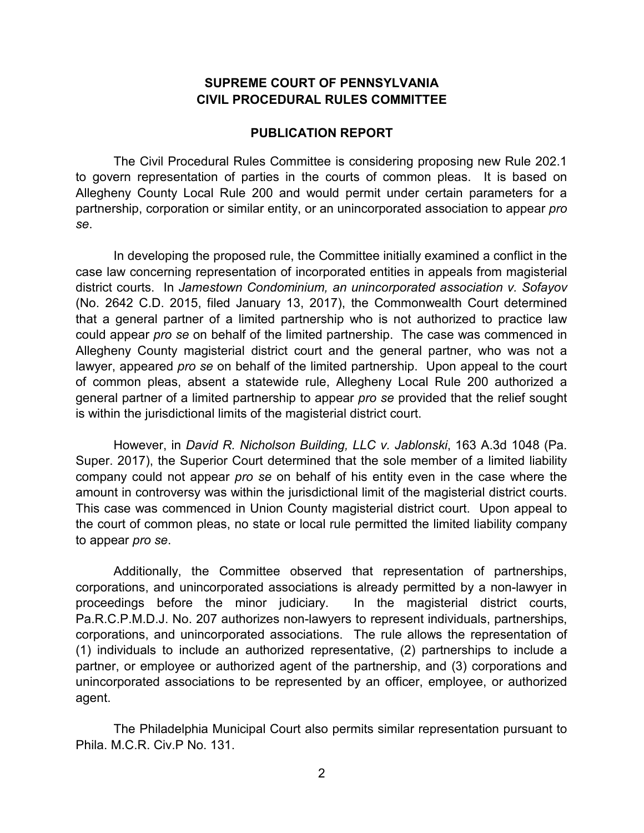# **SUPREME COURT OF PENNSYLVANIA CIVIL PROCEDURAL RULES COMMITTEE**

#### **PUBLICATION REPORT**

The Civil Procedural Rules Committee is considering proposing new Rule 202.1 to govern representation of parties in the courts of common pleas. It is based on Allegheny County Local Rule 200 and would permit under certain parameters for a partnership, corporation or similar entity, or an unincorporated association to appear *pro se*.

In developing the proposed rule, the Committee initially examined a conflict in the case law concerning representation of incorporated entities in appeals from magisterial district courts. In *Jamestown Condominium, an unincorporated association v. Sofayov* (No. 2642 C.D. 2015, filed January 13, 2017), the Commonwealth Court determined that a general partner of a limited partnership who is not authorized to practice law could appear *pro se* on behalf of the limited partnership. The case was commenced in Allegheny County magisterial district court and the general partner, who was not a lawyer, appeared *pro se* on behalf of the limited partnership. Upon appeal to the court of common pleas, absent a statewide rule, Allegheny Local Rule 200 authorized a general partner of a limited partnership to appear *pro se* provided that the relief sought is within the jurisdictional limits of the magisterial district court.

However, in *David R. Nicholson Building, LLC v. Jablonski*, 163 A.3d 1048 (Pa. Super. 2017), the Superior Court determined that the sole member of a limited liability company could not appear *pro se* on behalf of his entity even in the case where the amount in controversy was within the jurisdictional limit of the magisterial district courts. This case was commenced in Union County magisterial district court. Upon appeal to the court of common pleas, no state or local rule permitted the limited liability company to appear *pro se*.

Additionally, the Committee observed that representation of partnerships, corporations, and unincorporated associations is already permitted by a non-lawyer in proceedings before the minor judiciary. In the magisterial district courts, Pa.R.C.P.M.D.J. No. 207 authorizes non-lawyers to represent individuals, partnerships, corporations, and unincorporated associations. The rule allows the representation of (1) individuals to include an authorized representative, (2) partnerships to include a partner, or employee or authorized agent of the partnership, and (3) corporations and unincorporated associations to be represented by an officer, employee, or authorized agent.

The Philadelphia Municipal Court also permits similar representation pursuant to Phila. M.C.R. Civ.P No. 131.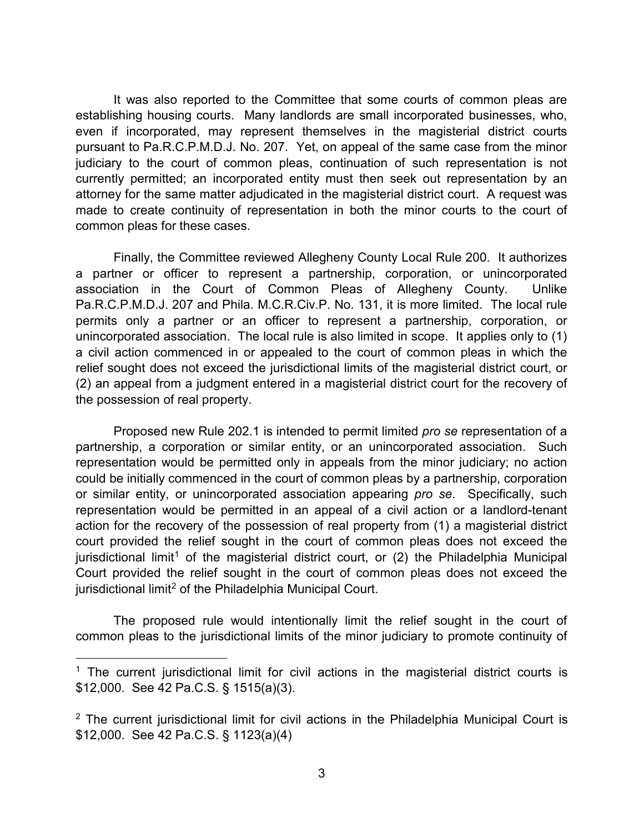It was also reported to the Committee that some courts of common pleas are establishing housing courts. Many landlords are small incorporated businesses, who, even if incorporated, may represent themselves in the magisterial district courts pursuant to Pa.R.C.P.M.D.J. No. 207. Yet, on appeal of the same case from the minor judiciary to the court of common pleas, continuation of such representation is not currently permitted; an incorporated entity must then seek out representation by an attorney for the same matter adjudicated in the magisterial district court. A request was made to create continuity of representation in both the minor courts to the court of common pleas for these cases.

Finally, the Committee reviewed Allegheny County Local Rule 200. It authorizes a partner or officer to represent a partnership, corporation, or unincorporated association in the Court of Common Pleas of Allegheny County. Unlike Pa.R.C.P.M.D.J. 207 and Phila. M.C.R.Civ.P. No. 131, it is more limited. The local rule permits only a partner or an officer to represent a partnership, corporation, or unincorporated association. The local rule is also limited in scope. It applies only to (1) a civil action commenced in or appealed to the court of common pleas in which the relief sought does not exceed the jurisdictional limits of the magisterial district court, or (2) an appeal from a judgment entered in a magisterial district court for the recovery of the possession of real property.

Proposed new Rule 202.1 is intended to permit limited *pro se* representation of a partnership, a corporation or similar entity, or an unincorporated association. Such representation would be permitted only in appeals from the minor judiciary; no action could be initially commenced in the court of common pleas by a partnership, corporation or similar entity, or unincorporated association appearing *pro se*. Specifically, such representation would be permitted in an appeal of a civil action or a landlord-tenant action for the recovery of the possession of real property from (1) a magisterial district court provided the relief sought in the court of common pleas does not exceed the jurisdictional limit<sup>[1](#page-2-0)</sup> of the magisterial district court, or  $(2)$  the Philadelphia Municipal Court provided the relief sought in the court of common pleas does not exceed the jurisdictional limit<sup>[2](#page-2-1)</sup> of the Philadelphia Municipal Court.

The proposed rule would intentionally limit the relief sought in the court of common pleas to the jurisdictional limits of the minor judiciary to promote continuity of

<span id="page-2-0"></span> $1$  The current jurisdictional limit for civil actions in the magisterial district courts is \$12,000. See 42 Pa.C.S. § 1515(a)(3).

<span id="page-2-1"></span> $2$  The current jurisdictional limit for civil actions in the Philadelphia Municipal Court is \$12,000. See 42 Pa.C.S. § 1123(a)(4)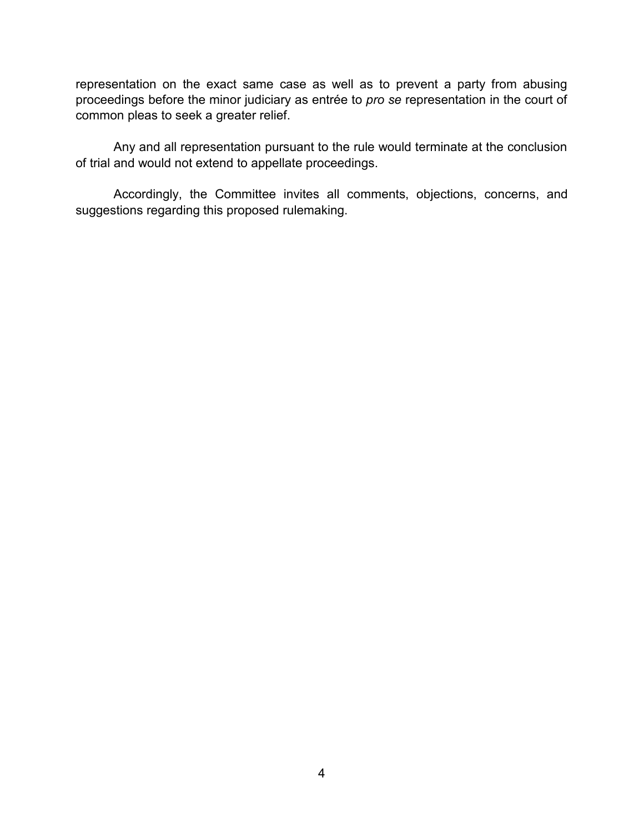representation on the exact same case as well as to prevent a party from abusing proceedings before the minor judiciary as entrée to *pro se* representation in the court of common pleas to seek a greater relief.

Any and all representation pursuant to the rule would terminate at the conclusion of trial and would not extend to appellate proceedings.

Accordingly, the Committee invites all comments, objections, concerns, and suggestions regarding this proposed rulemaking.